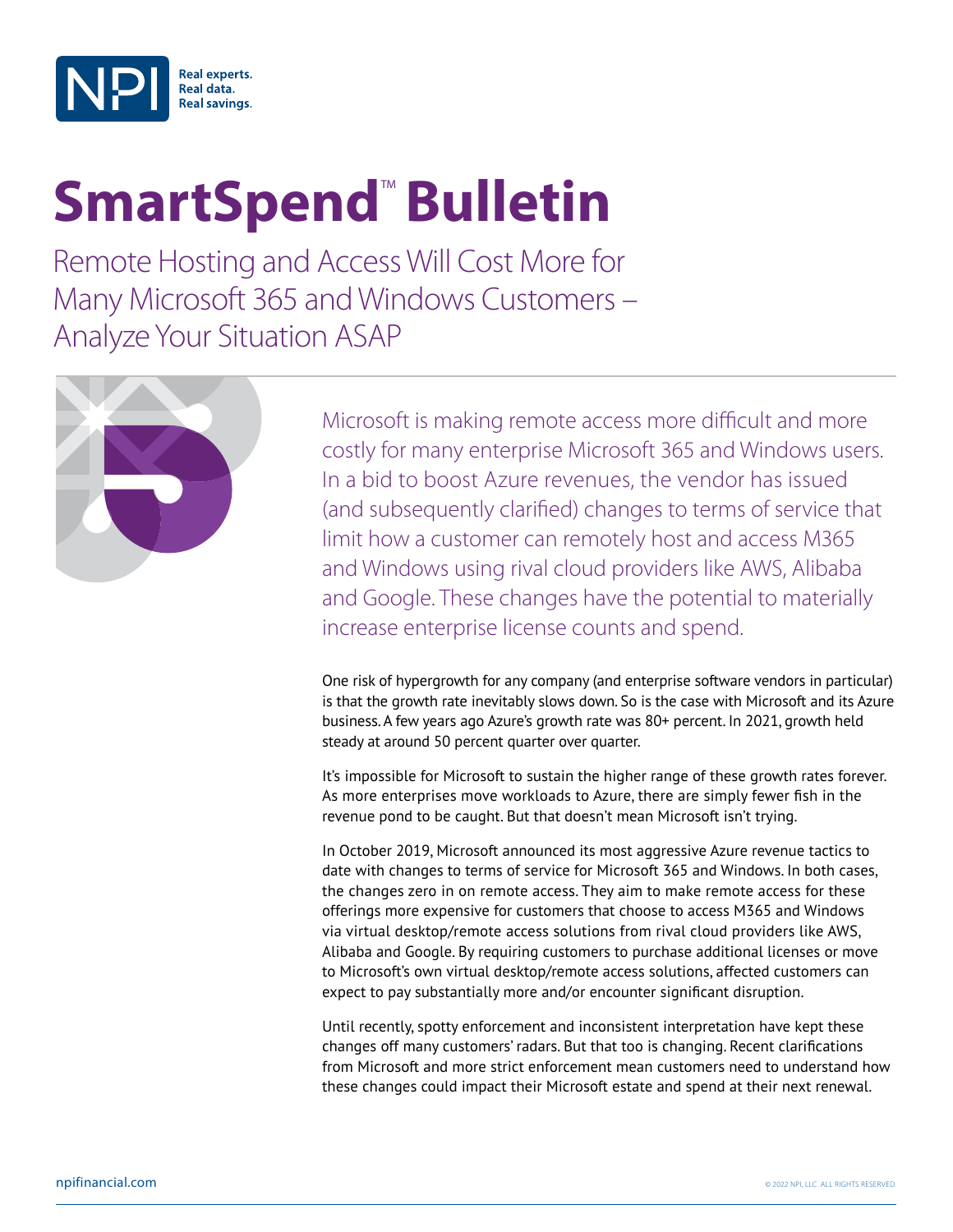

# **SmartSpend<sup>™</sup> Bulletin**

Remote Hosting and Access Will Cost More for Many Microsoft 365 and Windows Customers – Analyze Your Situation ASAP



Microsoft is making remote access more difficult and more costly for many enterprise Microsoft 365 and Windows users. In a bid to boost Azure revenues, the vendor has issued (and subsequently clarified) changes to terms of service that limit how a customer can remotely host and access M365 and Windows using rival cloud providers like AWS, Alibaba and Google. These changes have the potential to materially increase enterprise license counts and spend.

One risk of hypergrowth for any company (and enterprise software vendors in particular) is that the growth rate inevitably slows down. So is the case with Microsoft and its Azure business. A few years ago Azure's growth rate was 80+ percent. In 2021, growth held steady at around 50 percent quarter over quarter.

It's impossible for Microsoft to sustain the higher range of these growth rates forever. As more enterprises move workloads to Azure, there are simply fewer fish in the revenue pond to be caught. But that doesn't mean Microsoft isn't trying.

In October 2019, Microsoft announced its most aggressive Azure revenue tactics to date with changes to terms of service for Microsoft 365 and Windows. In both cases, the changes zero in on remote access. They aim to make remote access for these offerings more expensive for customers that choose to access M365 and Windows via virtual desktop/remote access solutions from rival cloud providers like AWS, Alibaba and Google. By requiring customers to purchase additional licenses or move to Microsoft's own virtual desktop/remote access solutions, affected customers can expect to pay substantially more and/or encounter significant disruption.

Until recently, spotty enforcement and inconsistent interpretation have kept these changes off many customers' radars. But that too is changing. Recent clarifications from Microsoft and more strict enforcement mean customers need to understand how these changes could impact their Microsoft estate and spend at their next renewal.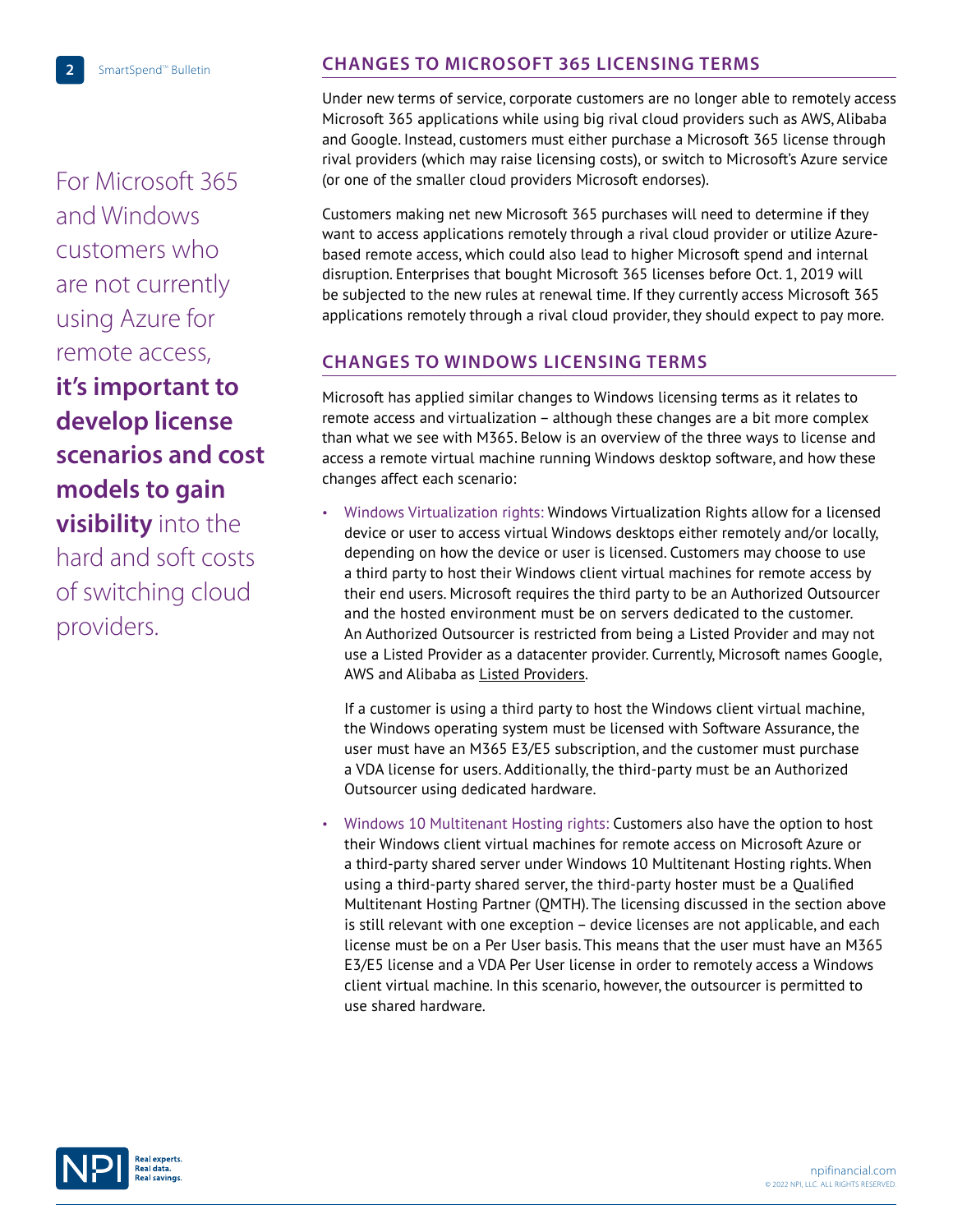For Microsoft 365 and Windows customers who are not currently using Azure for remote access, **it's important to develop license scenarios and cost models to gain visibility** into the hard and soft costs of switching cloud providers.

## **CHANGES TO MICROSOFT 365 LICENSING TERMS**

Under new terms of service, corporate customers are no longer able to remotely access Microsoft 365 applications while using big rival cloud providers such as AWS, Alibaba and Google. Instead, customers must either purchase a Microsoft 365 license through rival providers (which may raise licensing costs), or switch to Microsoft's Azure service (or one of the smaller cloud providers Microsoft endorses).

Customers making net new Microsoft 365 purchases will need to determine if they want to access applications remotely through a rival cloud provider or utilize Azurebased remote access, which could also lead to higher Microsoft spend and internal disruption. Enterprises that bought Microsoft 365 licenses before Oct. 1, 2019 will be subjected to the new rules at renewal time. If they currently access Microsoft 365 applications remotely through a rival cloud provider, they should expect to pay more.

## **CHANGES TO WINDOWS LICENSING TERMS**

Microsoft has applied similar changes to Windows licensing terms as it relates to remote access and virtualization – although these changes are a bit more complex than what we see with M365. Below is an overview of the three ways to license and access a remote virtual machine running Windows desktop software, and how these changes affect each scenario:

• Windows Virtualization rights: Windows Virtualization Rights allow for a licensed device or user to access virtual Windows desktops either remotely and/or locally, depending on how the device or user is licensed. Customers may choose to use a third party to host their Windows client virtual machines for remote access by their end users. Microsoft requires the third party to be an Authorized Outsourcer and the hosted environment must be on servers dedicated to the customer. An Authorized Outsourcer is restricted from being a Listed Provider and may not use a Listed Provider as a datacenter provider. Currently, Microsoft names Google, AWS and Alibaba as **Listed Providers.** 

If a customer is using a third party to host the Windows client virtual machine, the Windows operating system must be licensed with Software Assurance, the user must have an M365 E3/E5 subscription, and the customer must purchase a VDA license for users. Additionally, the third-party must be an Authorized Outsourcer using dedicated hardware.

• Windows 10 Multitenant Hosting rights: Customers also have the option to host their Windows client virtual machines for remote access on Microsoft Azure or a third-party shared server under Windows 10 Multitenant Hosting rights. When using a third-party shared server, the third-party hoster must be a Qualified Multitenant Hosting Partner (QMTH). The licensing discussed in the section above is still relevant with one exception – device licenses are not applicable, and each license must be on a Per User basis. This means that the user must have an M365 E3/E5 license and a VDA Per User license in order to remotely access a Windows client virtual machine. In this scenario, however, the outsourcer is permitted to use shared hardware.